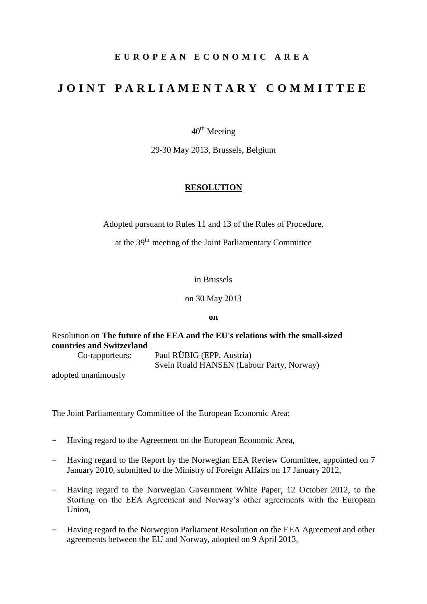# **E U R O P E A N E C O N O M I C A R E A**

# **J O I N T P A R L I A M E N T A R Y C O M M I T T E E**

 $40^{\text{th}}$  Meeting

29-30 May 2013, Brussels, Belgium

## **RESOLUTION**

Adopted pursuant to Rules 11 and 13 of the Rules of Procedure,

at the  $39<sup>th</sup>$  meeting of the Joint Parliamentary Committee

#### in Brussels

on 30 May 2013

**on**

Resolution on **The future of the EEA and the EU's relations with the small-sized countries and Switzerland**

Co-rapporteurs: Paul RÜBIG (EPP, Austria) Svein Roald HANSEN (Labour Party, Norway)

adopted unanimously

The Joint Parliamentary Committee of the European Economic Area:

- Having regard to the Agreement on the European Economic Area,
- Having regard to the Report by the Norwegian EEA Review Committee, appointed on 7 January 2010, submitted to the Ministry of Foreign Affairs on 17 January 2012,
- Having regard to the Norwegian Government White Paper, 12 October 2012, to the Storting on the EEA Agreement and Norway's other agreements with the European Union,
- Having regard to the Norwegian Parliament Resolution on the EEA Agreement and other agreements between the EU and Norway, adopted on 9 April 2013,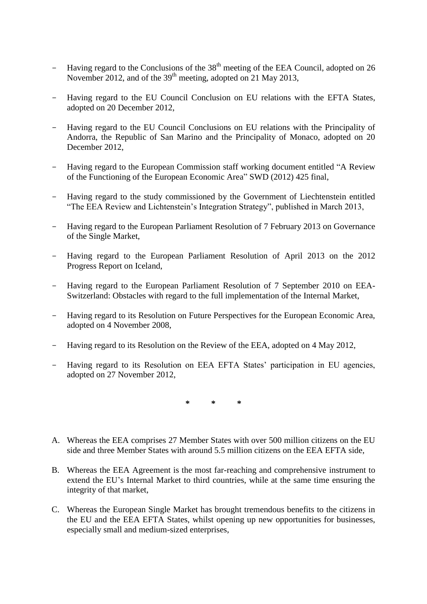- Having regard to the Conclusions of the  $38<sup>th</sup>$  meeting of the EEA Council, adopted on 26 November 2012, and of the  $39<sup>th</sup>$  meeting, adopted on 21 May 2013,
- Having regard to the EU Council Conclusion on EU relations with the EFTA States, adopted on 20 December 2012,
- Having regard to the EU Council Conclusions on EU relations with the Principality of Andorra, the Republic of San Marino and the Principality of Monaco, adopted on 20 December 2012,
- Having regard to the European Commission staff working document entitled "A Review of the Functioning of the European Economic Area" SWD (2012) 425 final,
- Having regard to the study commissioned by the Government of Liechtenstein entitled "The EEA Review and Lichtenstein's Integration Strategy", published in March 2013,
- Having regard to the European Parliament Resolution of 7 February 2013 on Governance of the Single Market,
- Having regard to the European Parliament Resolution of April 2013 on the 2012 Progress Report on Iceland,
- Having regard to the European Parliament Resolution of 7 September 2010 on EEA-Switzerland: Obstacles with regard to the full implementation of the Internal Market,
- Having regard to its Resolution on Future Perspectives for the European Economic Area, adopted on 4 November 2008,
- Having regard to its Resolution on the Review of the EEA, adopted on 4 May 2012,
- Having regard to its Resolution on EEA EFTA States' participation in EU agencies, adopted on 27 November 2012,

**\* \* \***

- A. Whereas the EEA comprises 27 Member States with over 500 million citizens on the EU side and three Member States with around 5.5 million citizens on the EEA EFTA side,
- B. Whereas the EEA Agreement is the most far-reaching and comprehensive instrument to extend the EU's Internal Market to third countries, while at the same time ensuring the integrity of that market,
- C. Whereas the European Single Market has brought tremendous benefits to the citizens in the EU and the EEA EFTA States, whilst opening up new opportunities for businesses, especially small and medium-sized enterprises,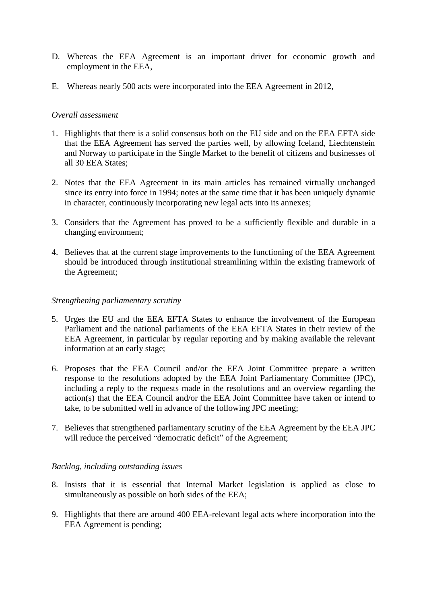- D. Whereas the EEA Agreement is an important driver for economic growth and employment in the EEA,
- E. Whereas nearly 500 acts were incorporated into the EEA Agreement in 2012,

## *Overall assessment*

- 1. Highlights that there is a solid consensus both on the EU side and on the EEA EFTA side that the EEA Agreement has served the parties well, by allowing Iceland, Liechtenstein and Norway to participate in the Single Market to the benefit of citizens and businesses of all 30 EEA States;
- 2. Notes that the EEA Agreement in its main articles has remained virtually unchanged since its entry into force in 1994; notes at the same time that it has been uniquely dynamic in character, continuously incorporating new legal acts into its annexes;
- 3. Considers that the Agreement has proved to be a sufficiently flexible and durable in a changing environment;
- 4. Believes that at the current stage improvements to the functioning of the EEA Agreement should be introduced through institutional streamlining within the existing framework of the Agreement;

## *Strengthening parliamentary scrutiny*

- 5. Urges the EU and the EEA EFTA States to enhance the involvement of the European Parliament and the national parliaments of the EEA EFTA States in their review of the EEA Agreement, in particular by regular reporting and by making available the relevant information at an early stage;
- 6. Proposes that the EEA Council and/or the EEA Joint Committee prepare a written response to the resolutions adopted by the EEA Joint Parliamentary Committee (JPC), including a reply to the requests made in the resolutions and an overview regarding the action(s) that the EEA Council and/or the EEA Joint Committee have taken or intend to take, to be submitted well in advance of the following JPC meeting;
- 7. Believes that strengthened parliamentary scrutiny of the EEA Agreement by the EEA JPC will reduce the perceived "democratic deficit" of the Agreement;

### *Backlog, including outstanding issues*

- 8. Insists that it is essential that Internal Market legislation is applied as close to simultaneously as possible on both sides of the EEA;
- 9. Highlights that there are around 400 EEA-relevant legal acts where incorporation into the EEA Agreement is pending;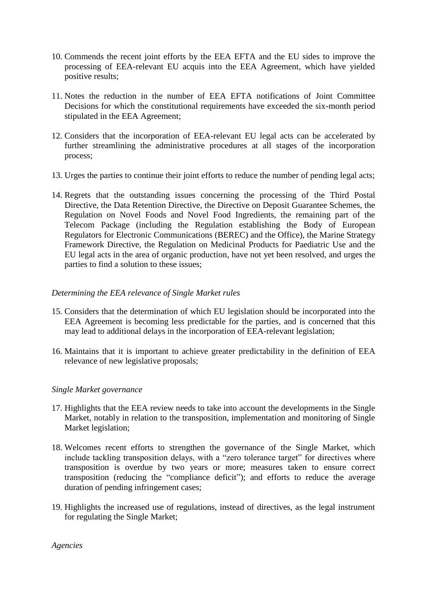- 10. Commends the recent joint efforts by the EEA EFTA and the EU sides to improve the processing of EEA-relevant EU acquis into the EEA Agreement, which have yielded positive results;
- 11. Notes the reduction in the number of EEA EFTA notifications of Joint Committee Decisions for which the constitutional requirements have exceeded the six-month period stipulated in the EEA Agreement;
- 12. Considers that the incorporation of EEA-relevant EU legal acts can be accelerated by further streamlining the administrative procedures at all stages of the incorporation process;
- 13. Urges the parties to continue their joint efforts to reduce the number of pending legal acts;
- 14. Regrets that the outstanding issues concerning the processing of the Third Postal Directive, the Data Retention Directive, the Directive on Deposit Guarantee Schemes, the Regulation on Novel Foods and Novel Food Ingredients, the remaining part of the Telecom Package (including the Regulation establishing the Body of European Regulators for Electronic Communications (BEREC) and the Office), the Marine Strategy Framework Directive, the Regulation on Medicinal Products for Paediatric Use and the EU legal acts in the area of organic production, have not yet been resolved, and urges the parties to find a solution to these issues;

# *Determining the EEA relevance of Single Market rules*

- 15. Considers that the determination of which EU legislation should be incorporated into the EEA Agreement is becoming less predictable for the parties, and is concerned that this may lead to additional delays in the incorporation of EEA-relevant legislation;
- 16. Maintains that it is important to achieve greater predictability in the definition of EEA relevance of new legislative proposals;

# *Single Market governance*

- 17. Highlights that the EEA review needs to take into account the developments in the Single Market, notably in relation to the transposition, implementation and monitoring of Single Market legislation;
- 18. Welcomes recent efforts to strengthen the governance of the Single Market, which include tackling transposition delays, with a "zero tolerance target" for directives where transposition is overdue by two years or more; measures taken to ensure correct transposition (reducing the "compliance deficit"); and efforts to reduce the average duration of pending infringement cases;
- 19. Highlights the increased use of regulations, instead of directives, as the legal instrument for regulating the Single Market;

*Agencies*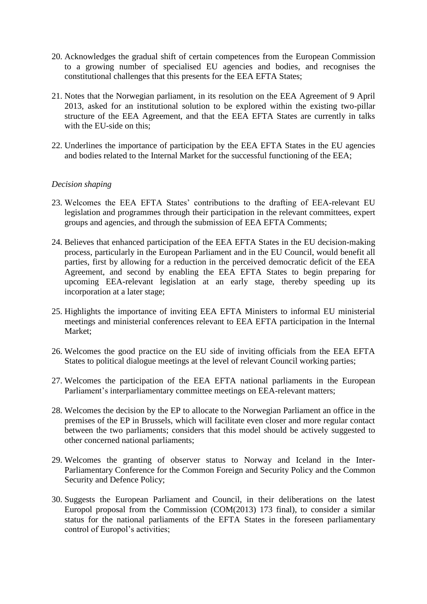- 20. Acknowledges the gradual shift of certain competences from the European Commission to a growing number of specialised EU agencies and bodies, and recognises the constitutional challenges that this presents for the EEA EFTA States;
- 21. Notes that the Norwegian parliament, in its resolution on the EEA Agreement of 9 April 2013, asked for an institutional solution to be explored within the existing two-pillar structure of the EEA Agreement, and that the EEA EFTA States are currently in talks with the EU-side on this:
- 22. Underlines the importance of participation by the EEA EFTA States in the EU agencies and bodies related to the Internal Market for the successful functioning of the EEA;

## *Decision shaping*

- 23. Welcomes the EEA EFTA States' contributions to the drafting of EEA-relevant EU legislation and programmes through their participation in the relevant committees, expert groups and agencies, and through the submission of EEA EFTA Comments;
- 24. Believes that enhanced participation of the EEA EFTA States in the EU decision-making process, particularly in the European Parliament and in the EU Council, would benefit all parties, first by allowing for a reduction in the perceived democratic deficit of the EEA Agreement, and second by enabling the EEA EFTA States to begin preparing for upcoming EEA-relevant legislation at an early stage, thereby speeding up its incorporation at a later stage;
- 25. Highlights the importance of inviting EEA EFTA Ministers to informal EU ministerial meetings and ministerial conferences relevant to EEA EFTA participation in the Internal Market;
- 26. Welcomes the good practice on the EU side of inviting officials from the EEA EFTA States to political dialogue meetings at the level of relevant Council working parties;
- 27. Welcomes the participation of the EEA EFTA national parliaments in the European Parliament's interparliamentary committee meetings on EEA-relevant matters;
- 28. Welcomes the decision by the EP to allocate to the Norwegian Parliament an office in the premises of the EP in Brussels, which will facilitate even closer and more regular contact between the two parliaments; considers that this model should be actively suggested to other concerned national parliaments;
- 29. Welcomes the granting of observer status to Norway and Iceland in the Inter-Parliamentary Conference for the Common Foreign and Security Policy and the Common Security and Defence Policy;
- 30. Suggests the European Parliament and Council, in their deliberations on the latest Europol proposal from the Commission (COM(2013) 173 final), to consider a similar status for the national parliaments of the EFTA States in the foreseen parliamentary control of Europol's activities;